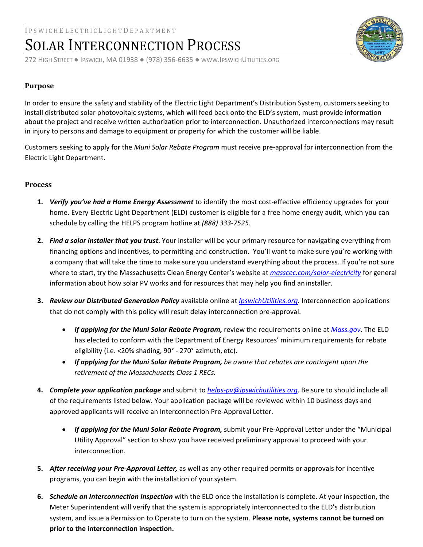## SOLAR INTERCONNECTION PROCESS

272 HIGH STREET ● IPSWICH, MA 01938 ● (978) 356‐6635 ● WWW.IPSWICHUTILITIES.ORG

### **Purpose**

In order to ensure the safety and stability of the Electric Light Department's Distribution System, customers seeking to install distributed solar photovoltaic systems, which will feed back onto the ELD's system, must provide information about the project and receive written authorization prior to interconnection. Unauthorized interconnections may result in injury to persons and damage to equipment or property for which the customer will be liable.

Customers seeking to apply for the *Muni Solar Rebate Program* must receive pre‐approval for interconnection from the Electric Light Department.

#### **Process**

- **1.** *Verify you've had a Home Energy Assessment* to identify the most cost‐effective efficiency upgrades for your home. Every Electric Light Department (ELD) customer is eligible for a free home energy audit, which you can schedule by calling the HELPS program hotline at *(888) 333‐7525*.
- **2.** *Find a solar installer that you trust*. Your installer will be your primary resource for navigating everything from financing options and incentives, to permitting and construction. You'll want to make sure you're working with a company that will take the time to make sure you understand everything about the process. If you're not sure where to start, try the Massachusetts Clean Energy Center's website at *masscec.com/solar‐electricity* for general information about how solar PV works and for resources that may help you find an installer.
- **3.** *Review our Distributed Generation Policy* available online at *IpswichUtilities.org*. Interconnection applications that do not comply with this policy will result delay interconnection pre‐approval.
	- *If applying for the Muni Solar Rebate Program,* review the requirements online at *Mass.gov*. The ELD has elected to conform with the Department of Energy Resources' minimum requirements for rebate eligibility (i.e. <20% shading, 90° ‐ 270° azimuth, etc).
	- *If applying for the Muni Solar Rebate Program, be aware that rebates are contingent upon the retirement of the Massachusetts Class 1 RECs.*
- **4.** *Complete your application package* and submit to *helps‐pv@ipswichutilities.org*. Be sure to should include all of the requirements listed below. Your application package will be reviewed within 10 business days and approved applicants will receive an Interconnection Pre‐Approval Letter.
	- *If applying for the Muni Solar Rebate Program,* submit your Pre‐Approval Letter under the "Municipal Utility Approval" section to show you have received preliminary approval to proceed with your interconnection.
- **5.** *After receiving your Pre‐Approval Letter,* as well as any other required permits or approvals for incentive programs, you can begin with the installation of yoursystem.
- **6.** *Schedule an Interconnection Inspection* with the ELD once the installation is complete. At your inspection, the Meter Superintendent will verify that the system is appropriately interconnected to the ELD's distribution system, and issue a Permission to Operate to turn on the system. **Please note, systems cannot be turned on prior to the interconnection inspection.**

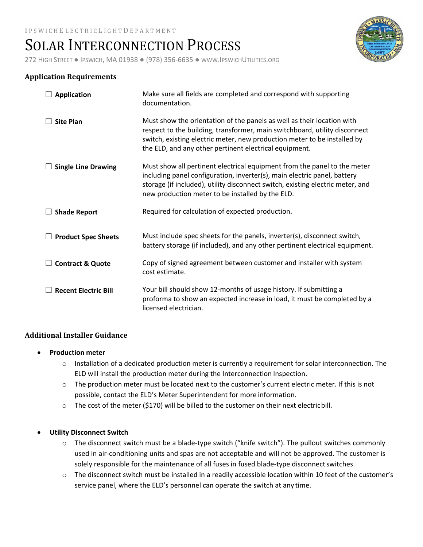## SOLAR INTERCONNECTION PROCESS

272 HIGH STREET ● IPSWICH, MA 01938 ● (978) 356‐6635 ● WWW.IPSWICHUTILITIES.ORG

### **Application Requirements**

| <b>Application</b>          | Make sure all fields are completed and correspond with supporting<br>documentation.                                                                                                                                                                                                        |
|-----------------------------|--------------------------------------------------------------------------------------------------------------------------------------------------------------------------------------------------------------------------------------------------------------------------------------------|
| <b>Site Plan</b>            | Must show the orientation of the panels as well as their location with<br>respect to the building, transformer, main switchboard, utility disconnect<br>switch, existing electric meter, new production meter to be installed by<br>the ELD, and any other pertinent electrical equipment. |
| <b>Single Line Drawing</b>  | Must show all pertinent electrical equipment from the panel to the meter<br>including panel configuration, inverter(s), main electric panel, battery<br>storage (if included), utility disconnect switch, existing electric meter, and<br>new production meter to be installed by the ELD. |
| <b>Shade Report</b>         | Required for calculation of expected production.                                                                                                                                                                                                                                           |
| <b>Product Spec Sheets</b>  | Must include spec sheets for the panels, inverter(s), disconnect switch,<br>battery storage (if included), and any other pertinent electrical equipment.                                                                                                                                   |
| <b>Contract &amp; Quote</b> | Copy of signed agreement between customer and installer with system<br>cost estimate.                                                                                                                                                                                                      |
| <b>Recent Electric Bill</b> | Your bill should show 12-months of usage history. If submitting a<br>proforma to show an expected increase in load, it must be completed by a<br>licensed electrician.                                                                                                                     |

### **Additional Installer Guidance**

- **Production meter**
	- $\circ$  Installation of a dedicated production meter is currently a requirement for solar interconnection. The ELD will install the production meter during the Interconnection Inspection.
	- $\circ$  The production meter must be located next to the customer's current electric meter. If this is not possible, contact the ELD's Meter Superintendent for more information.
	- $\circ$  The cost of the meter (\$170) will be billed to the customer on their next electricbill.

#### **Utility Disconnect Switch**

- $\circ$  The disconnect switch must be a blade-type switch ("knife switch"). The pullout switches commonly used in air‐conditioning units and spas are not acceptable and will not be approved. The customer is solely responsible for the maintenance of all fuses in fused blade-type disconnect switches.
- o The disconnect switch must be installed in a readily accessible location within 10 feet of the customer's service panel, where the ELD's personnel can operate the switch at any time.

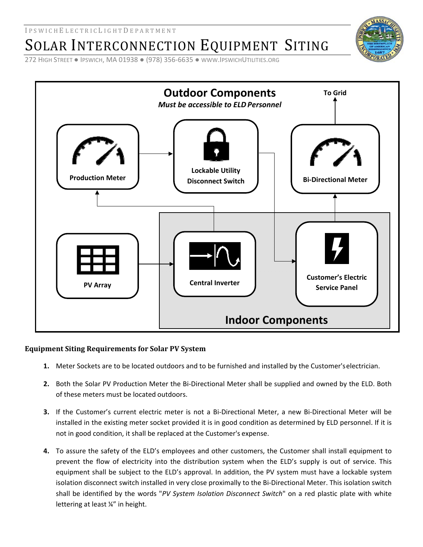SOLAR INTERCONNECTION EQUIPMENT SITING

272 HIGH STREET ● IPSWICH, MA 01938 ● (978) 356‐6635 ● WWW.IPSWICHUTILITIES.ORG



## **Equipment Siting Requirements for Solar PV System**

- **1.** Meter Sockets are to be located outdoors and to be furnished and installed by the Customer'selectrician.
- **2.** Both the Solar PV Production Meter the Bi‐Directional Meter shall be supplied and owned by the ELD. Both of these meters must be located outdoors.
- **3.** If the Customer's current electric meter is not a Bi‐Directional Meter, a new Bi‐Directional Meter will be installed in the existing meter socket provided it is in good condition as determined by ELD personnel. If it is not in good condition, it shall be replaced at the Customer's expense.
- **4.** To assure the safety of the ELD's employees and other customers, the Customer shall install equipment to prevent the flow of electricity into the distribution system when the ELD's supply is out of service. This equipment shall be subject to the ELD's approval. In addition, the PV system must have a lockable system isolation disconnect switch installed in very close proximally to the Bi‐Directional Meter. This isolation switch shall be identified by the words "*PV System Isolation Disconnect Switch*" on a red plastic plate with white lettering at least ¼" in height.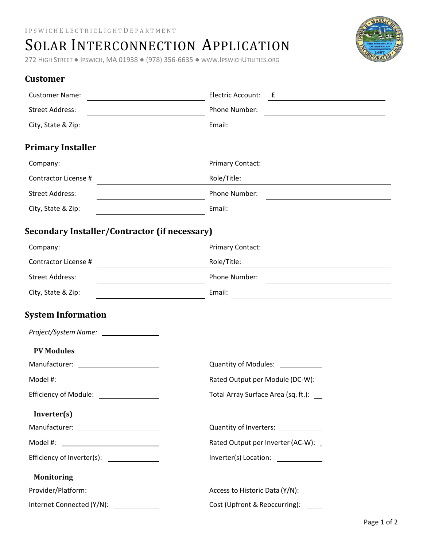# SOLAR INTERCONNECTION APPLICATION

272 HIGH STREET ● IPSWICH, MA 01938 ● (978) 356‐6635 ● WWW.IPSWICHUTILITIES.ORG



## **Customer**

| <b>Customer Name:</b>                                | Electric Account:<br>Е.                                                                                                                           |
|------------------------------------------------------|---------------------------------------------------------------------------------------------------------------------------------------------------|
| <b>Street Address:</b>                               | Phone Number:                                                                                                                                     |
| City, State & Zip:                                   | Email:<br><u> 1989 - Johann Stein, mars an deutscher Stein und der Stein und der Stein und der Stein und der Stein und der</u>                    |
| <b>Primary Installer</b>                             |                                                                                                                                                   |
| Company:                                             | <b>Primary Contact:</b><br><u> 1989 - Johann Stoff, deutscher Stoffen und der Stoffen und der Stoffen und der Stoffen und der Stoffen und der</u> |
| Contractor License #                                 | Role/Title:                                                                                                                                       |
| <b>Street Address:</b>                               | Phone Number:                                                                                                                                     |
| City, State & Zip:                                   | Email:<br><u> 1989 - Johann Barn, mars and de Brasilian (b. 1989)</u>                                                                             |
| <b>Secondary Installer/Contractor (if necessary)</b> |                                                                                                                                                   |
| Company:                                             | <b>Primary Contact:</b>                                                                                                                           |
| Contractor License #                                 | Role/Title:<br><u> 1989 - Johann Barnett, fransk politiker (</u>                                                                                  |
| <b>Street Address:</b>                               | Phone Number:<br><u> 1989 - Johann Barbara, martxa alemaniar arg</u>                                                                              |
| City, State & Zip:                                   | Email:<br><u> 1989 - Johann Stoff, fransk politik (d. 1989)</u>                                                                                   |
| <b>System Information</b>                            |                                                                                                                                                   |
|                                                      |                                                                                                                                                   |
| <b>PV Modules</b>                                    |                                                                                                                                                   |
|                                                      |                                                                                                                                                   |
| Model #:                                             | Rated Output per Module (DC-W): _                                                                                                                 |
| <b>Efficiency of Module:</b>                         | Total Array Surface Area (sq. ft.): __                                                                                                            |
| Inverter(s)                                          |                                                                                                                                                   |
|                                                      | Quantity of Inverters: ____________                                                                                                               |
| Model #: ________________________________            | Rated Output per Inverter (AC-W): _                                                                                                               |
| Efficiency of Inverter(s): _______________           | Inverter(s) Location: _____________                                                                                                               |
| <b>Monitoring</b>                                    |                                                                                                                                                   |
|                                                      | Access to Historic Data (Y/N):                                                                                                                    |
| Internet Connected (Y/N): ____________               | Cost (Upfront & Reoccurring):                                                                                                                     |